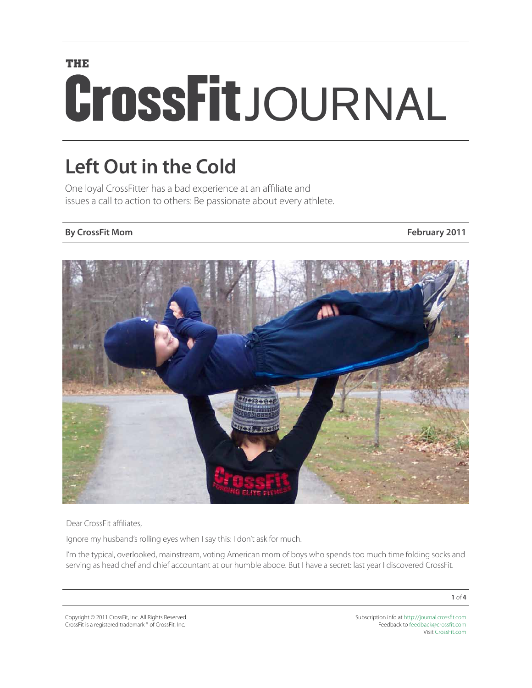# **THE** CrossFitJOURNAL

## **Left Out in the Cold**

One loyal CrossFitter has a bad experience at an affiliate and issues a call to action to others: Be passionate about every athlete.

### **By CrossFit Mom February 2011**



Dear CrossFit affiliates,

Ignore my husband's rolling eyes when I say this: I don't ask for much.

I'm the typical, overlooked, mainstream, voting American mom of boys who spends too much time folding socks and serving as head chef and chief accountant at our humble abode. But I have a secret: last year I discovered CrossFit.

Copyright © 2011 CrossFit, Inc. All Rights Reserved. CrossFit is a registered trademark ® of CrossFit, Inc.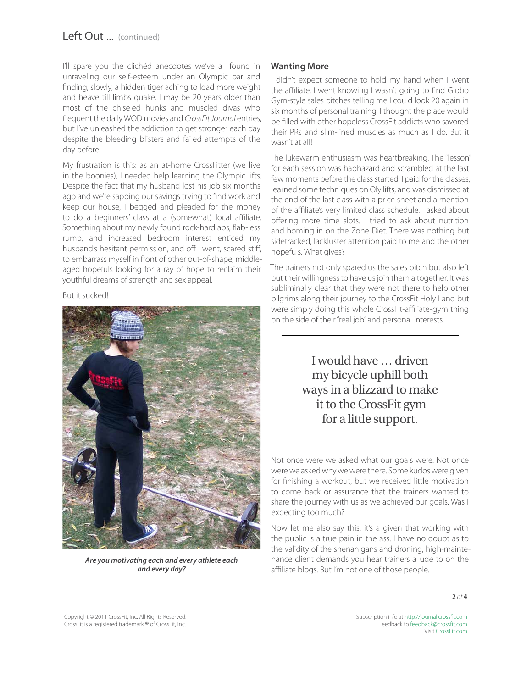I'll spare you the clichéd anecdotes we've all found in unraveling our self-esteem under an Olympic bar and finding, slowly, a hidden tiger aching to load more weight and heave till limbs quake. I may be 20 years older than most of the chiseled hunks and muscled divas who frequent the daily WOD movies and *CrossFit Journal* entries, but I've unleashed the addiction to get stronger each day despite the bleeding blisters and failed attempts of the day before.

My frustration is this: as an at-home CrossFitter (we live in the boonies), I needed help learning the Olympic lifts. Despite the fact that my husband lost his job six months ago and we're sapping our savings trying to find work and keep our house, I begged and pleaded for the money to do a beginners' class at a (somewhat) local affiliate. Something about my newly found rock-hard abs, flab-less rump, and increased bedroom interest enticed my husband's hesitant permission, and off I went, scared stiff, to embarrass myself in front of other out-of-shape, middleaged hopefuls looking for a ray of hope to reclaim their youthful dreams of strength and sex appeal.

But it sucked!



*Are you motivating each and every athlete each and every day?*

#### **Wanting More**

I didn't expect someone to hold my hand when I went the affiliate. I went knowing I wasn't going to find Globo Gym-style sales pitches telling me I could look 20 again in six months of personal training. I thought the place would be filled with other hopeless CrossFit addicts who savored their PRs and slim-lined muscles as much as I do. But it wasn't at all!

The lukewarm enthusiasm was heartbreaking. The "lesson" for each session was haphazard and scrambled at the last few moments before the class started. I paid for the classes, learned some techniques on Oly lifts, and was dismissed at the end of the last class with a price sheet and a mention of the affiliate's very limited class schedule. I asked about offering more time slots. I tried to ask about nutrition and homing in on the Zone Diet. There was nothing but sidetracked, lackluster attention paid to me and the other hopefuls. What gives?

The trainers not only spared us the sales pitch but also left out their willingness to have us join them altogether. It was subliminally clear that they were not there to help other pilgrims along their journey to the CrossFit Holy Land but were simply doing this whole CrossFit-affiliate-gym thing on the side of their "real job" and personal interests.

> I would have … driven my bicycle uphill both ways in a blizzard to make it to the CrossFit gym for a little support.

Not once were we asked what our goals were. Not once were we asked why we were there. Some kudos were given for finishing a workout, but we received little motivation to come back or assurance that the trainers wanted to share the journey with us as we achieved our goals. Was I expecting too much?

Now let me also say this: it's a given that working with the public is a true pain in the ass. I have no doubt as to the validity of the shenanigans and droning, high-maintenance client demands you hear trainers allude to on the affiliate blogs. But I'm not one of those people.

**2** *of* **4**

Copyright © 2011 CrossFit, Inc. All Rights Reserved. CrossFit is a registered trademark ® of CrossFit, Inc.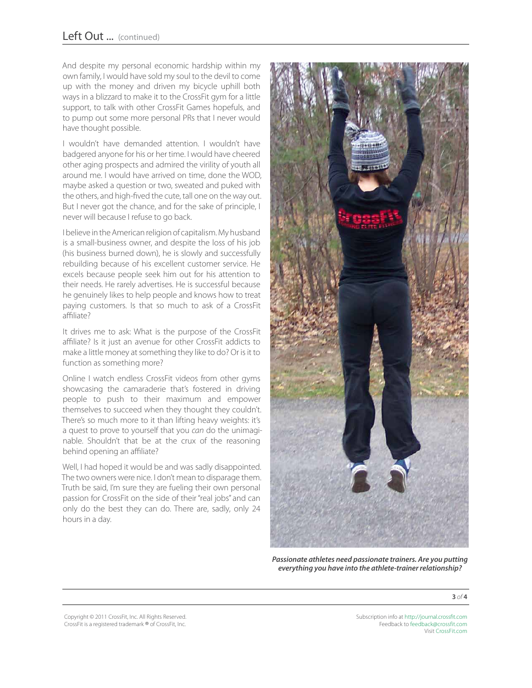And despite my personal economic hardship within my own family, I would have sold my soul to the devil to come up with the money and driven my bicycle uphill both ways in a blizzard to make it to the CrossFit gym for a little support, to talk with other CrossFit Games hopefuls, and to pump out some more personal PRs that I never would have thought possible.

I wouldn't have demanded attention. I wouldn't have badgered anyone for his or her time. I would have cheered other aging prospects and admired the virility of youth all around me. I would have arrived on time, done the WOD, maybe asked a question or two, sweated and puked with the others, and high-fived the cute, tall one on the way out. But I never got the chance, and for the sake of principle, I never will because I refuse to go back.

I believe in the American religion of capitalism. My husband is a small-business owner, and despite the loss of his job (his business burned down), he is slowly and successfully rebuilding because of his excellent customer service. He excels because people seek him out for his attention to their needs. He rarely advertises. He is successful because he genuinely likes to help people and knows how to treat paying customers. Is that so much to ask of a CrossFit affiliate?

It drives me to ask: What is the purpose of the CrossFit affiliate? Is it just an avenue for other CrossFit addicts to make a little money at something they like to do? Or is it to function as something more?

Online I watch endless CrossFit videos from other gyms showcasing the camaraderie that's fostered in driving people to push to their maximum and empower themselves to succeed when they thought they couldn't. There's so much more to it than lifting heavy weights: it's a quest to prove to yourself that you *can* do the unimaginable. Shouldn't that be at the crux of the reasoning behind opening an affiliate?

Well, I had hoped it would be and was sadly disappointed. The two owners were nice. I don't mean to disparage them. Truth be said, I'm sure they are fueling their own personal passion for CrossFit on the side of their "real jobs" and can only do the best they can do. There are, sadly, only 24 hours in a day.



*Passionate athletes need passionate trainers. Are you putting everything you have into the athlete-trainer relationship?*

**3** *of* **4**

Copyright © 2011 CrossFit, Inc. All Rights Reserved. CrossFit is a registered trademark ® of CrossFit, Inc.